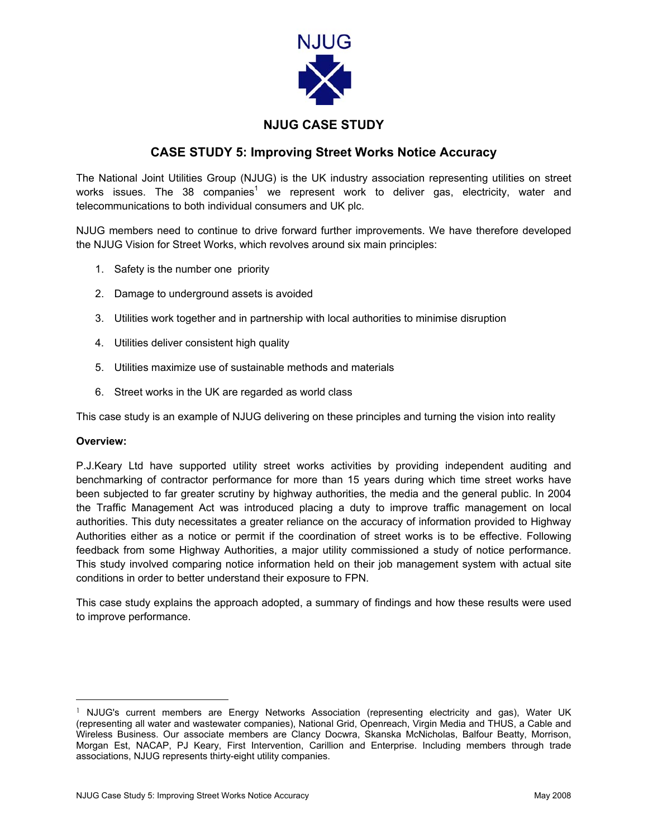

## **NJUG CASE STUDY**

## **CASE STUDY 5: Improving Street Works Notice Accuracy**

The National Joint Utilities Group (NJUG) is the UK industry association representing utilities on street works issues. The 38 companies<sup>[1](#page-0-0)</sup> we represent work to deliver gas, electricity, water and telecommunications to both individual consumers and UK plc.

NJUG members need to continue to drive forward further improvements. We have therefore developed the NJUG Vision for Street Works, which revolves around six main principles:

- 1. Safety is the number one priority
- 2. Damage to underground assets is avoided
- 3. Utilities work together and in partnership with local authorities to minimise disruption
- 4. Utilities deliver consistent high quality
- 5. Utilities maximize use of sustainable methods and materials
- 6. Street works in the UK are regarded as world class

This case study is an example of NJUG delivering on these principles and turning the vision into reality

## **Overview:**

P.J.Keary Ltd have supported utility street works activities by providing independent auditing and benchmarking of contractor performance for more than 15 years during which time street works have been subjected to far greater scrutiny by highway authorities, the media and the general public. In 2004 the Traffic Management Act was introduced placing a duty to improve traffic management on local authorities. This duty necessitates a greater reliance on the accuracy of information provided to Highway Authorities either as a notice or permit if the coordination of street works is to be effective. Following feedback from some Highway Authorities, a major utility commissioned a study of notice performance. This study involved comparing notice information held on their job management system with actual site conditions in order to better understand their exposure to FPN.

This case study explains the approach adopted, a summary of findings and how these results were used to improve performance.

<span id="page-0-0"></span> <sup>1</sup> NJUG's current members are Energy Networks Association (representing electricity and gas), Water UK (representing all water and wastewater companies), National Grid, Openreach, Virgin Media and THUS, a Cable and Wireless Business. Our associate members are Clancy Docwra, Skanska McNicholas, Balfour Beatty, Morrison, Morgan Est, NACAP, PJ Keary, First Intervention, Carillion and Enterprise. Including members through trade associations, NJUG represents thirty-eight utility companies.